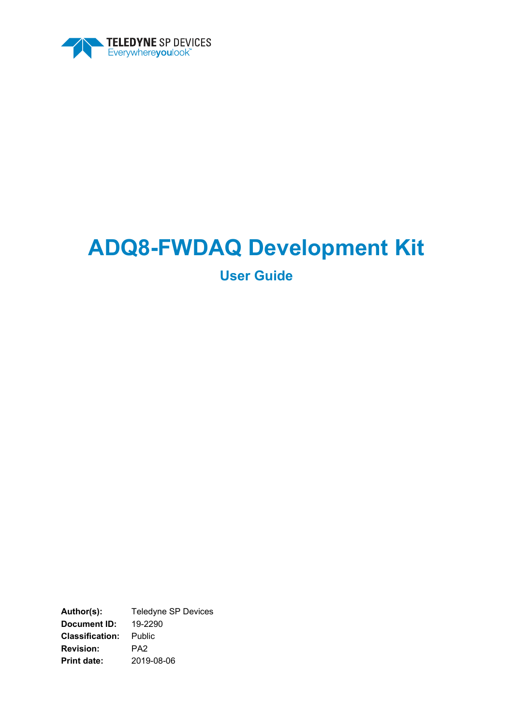

# **ADQ8-FWDAQ Development Kit**

**User Guide**

**Author(s):** Teledyne SP Devices **Document ID:** 19-2290 **Classification:** Public **Revision:** PA2 **Print date:** 2019-08-06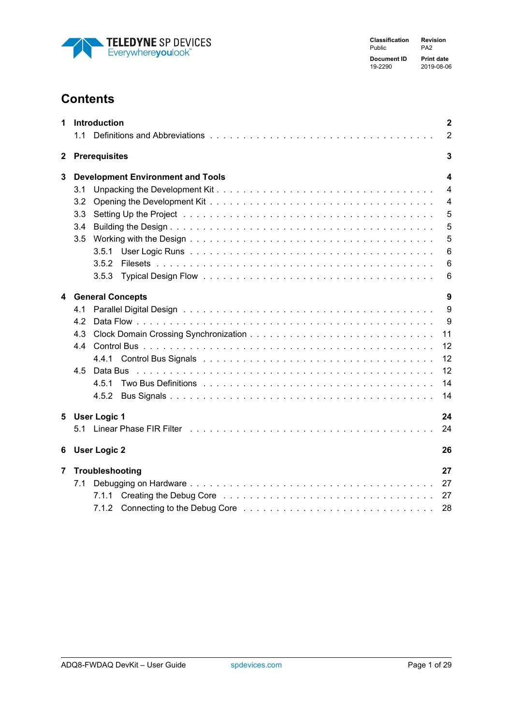

**Classification Revision** Public **Document ID Print date** 19-2290 2019-08-06

# **Contents**

| 1              |     | Introduction                             | $\mathbf{2}$    |
|----------------|-----|------------------------------------------|-----------------|
|                | 1.1 |                                          | $\overline{2}$  |
| $\mathbf{2}$   |     | <b>Prerequisites</b>                     | 3               |
| 3              |     | <b>Development Environment and Tools</b> | 4               |
|                | 3.1 |                                          | $\overline{4}$  |
|                | 3.2 |                                          | $\overline{4}$  |
|                | 3.3 |                                          | 5               |
|                | 3.4 |                                          | 5               |
|                | 3.5 |                                          | 5               |
|                |     | 3.5.1                                    | $6\phantom{1}6$ |
|                |     | 3.5.2                                    | 6               |
|                |     | 3.5.3                                    | 6               |
|                |     | 4 General Concepts                       | 9               |
|                | 4.1 |                                          | 9               |
|                | 4.2 |                                          | 9               |
|                | 4.3 |                                          | 11              |
|                | 4.4 |                                          | 12              |
|                |     | 4.4.1                                    | 12              |
|                | 4.5 |                                          | 12              |
|                |     | 4.5.1                                    | 14              |
|                |     | 4.5.2                                    | 14              |
| 5              |     | <b>User Logic 1</b>                      | 24              |
|                |     |                                          | 24              |
| 6              |     | <b>User Logic 2</b>                      | 26              |
| $\overline{7}$ |     | Troubleshooting                          | 27              |
|                | 7.1 |                                          | 27              |
|                |     | 7.1.1                                    | 27              |
|                |     |                                          | 28              |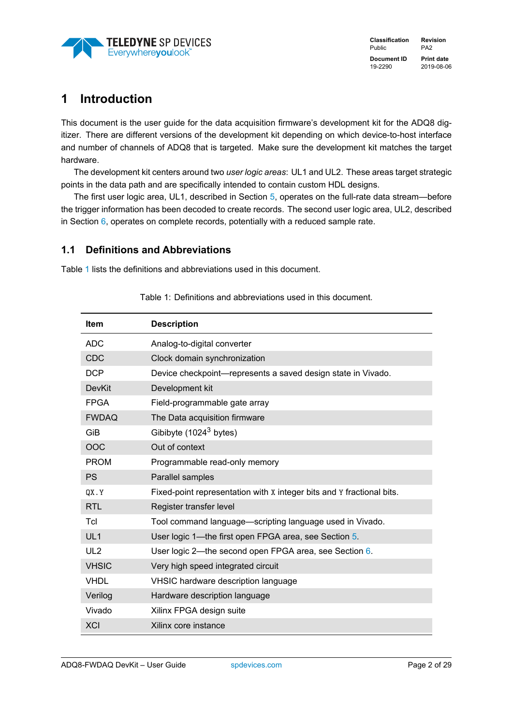

# <span id="page-2-0"></span>**1 Introduction**

This document is the user guide for the data acquisition firmware's development kit for the ADQ8 digitizer. There are different versions of the development kit depending on which device-to-host interface and number of channels of ADQ8 that is targeted. Make sure the development kit matches the target hardware.

The development kit centers around two *user logic areas*: UL1 and UL2. These areas target strategic points in the data path and are specifically intended to contain custom HDL designs.

The first user logic area, UL1, described in Section [5,](#page-24-0) operates on the full-rate data stream—before the trigger information has been decoded to create records. The second user logic area, UL2, described in Section  $6$ , operates on complete records, potentially with a reduced sample rate.

### <span id="page-2-1"></span>**1.1 Definitions and Abbreviations**

<span id="page-2-2"></span>Table [1](#page-2-2) lists the definitions and abbreviations used in this document.

| <b>Item</b>     | <b>Description</b>                                                    |
|-----------------|-----------------------------------------------------------------------|
| <b>ADC</b>      | Analog-to-digital converter                                           |
| <b>CDC</b>      | Clock domain synchronization                                          |
| <b>DCP</b>      | Device checkpoint-represents a saved design state in Vivado.          |
| <b>DevKit</b>   | Development kit                                                       |
| <b>FPGA</b>     | Field-programmable gate array                                         |
| <b>FWDAQ</b>    | The Data acquisition firmware                                         |
| GiB             | Gibibyte (1024 <sup>3</sup> bytes)                                    |
| <b>OOC</b>      | Out of context                                                        |
| <b>PROM</b>     | Programmable read-only memory                                         |
| <b>PS</b>       | Parallel samples                                                      |
| QX.Y            | Fixed-point representation with x integer bits and Y fractional bits. |
| <b>RTL</b>      | Register transfer level                                               |
| Tcl             | Tool command language—scripting language used in Vivado.              |
| UL <sub>1</sub> | User logic 1—the first open FPGA area, see Section 5.                 |
| UL <sub>2</sub> | User logic 2—the second open FPGA area, see Section 6.                |
| <b>VHSIC</b>    | Very high speed integrated circuit                                    |
| <b>VHDL</b>     | VHSIC hardware description language                                   |
| Verilog         | Hardware description language                                         |
| Vivado          | Xilinx FPGA design suite                                              |
| <b>XCI</b>      | Xilinx core instance                                                  |

Table 1: Definitions and abbreviations used in this document.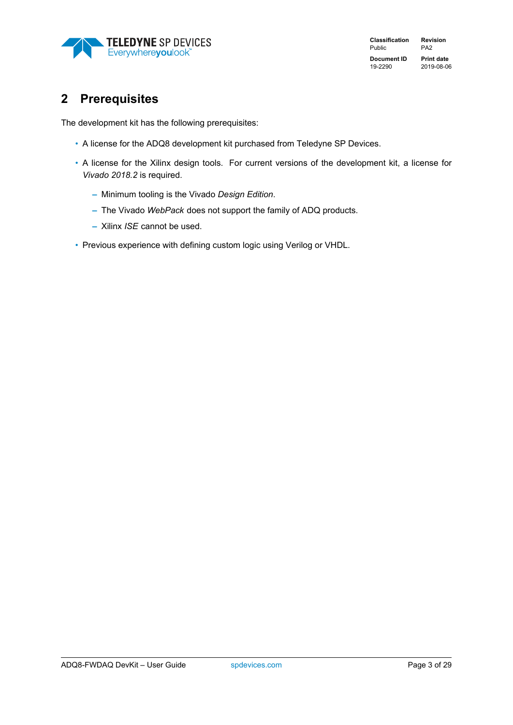

**Classification Revision** Public PA2 **Document ID Print date** 19-2290 2019-08-06

# <span id="page-3-0"></span>**2 Prerequisites**

The development kit has the following prerequisites:

- A license for the ADQ8 development kit purchased from Teledyne SP Devices.
- A license for the Xilinx design tools. For current versions of the development kit, a license for *Vivado 2018.2* is required.
	- **–** Minimum tooling is the Vivado *Design Edition*.
	- **–** The Vivado *WebPack* does not support the family of ADQ products.
	- **–** Xilinx *ISE* cannot be used.
- Previous experience with defining custom logic using Verilog or VHDL.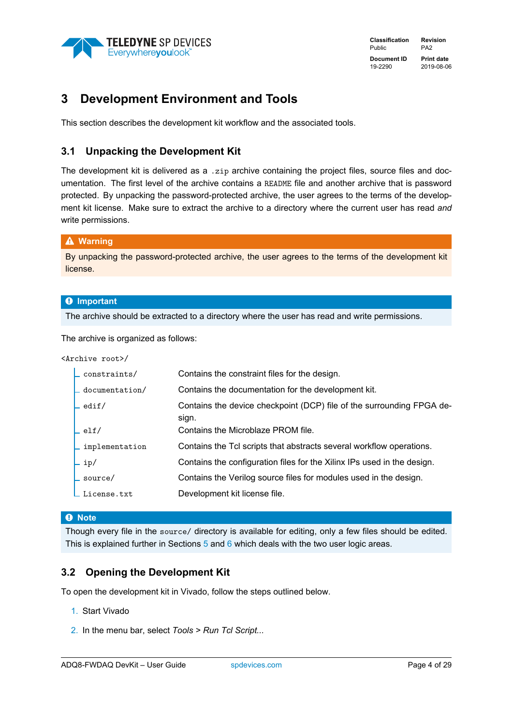

# <span id="page-4-0"></span>**3 Development Environment and Tools**

This section describes the development kit workflow and the associated tools.

### <span id="page-4-1"></span>**3.1 Unpacking the Development Kit**

The development kit is delivered as a .zip archive containing the project files, source files and documentation. The first level of the archive contains a README file and another archive that is password protected. By unpacking the password-protected archive, the user agrees to the terms of the development kit license. Make sure to extract the archive to a directory where the current user has read *and* write permissions.

### � **Warning**

By unpacking the password-protected archive, the user agrees to the terms of the development kit license.

### � **Important**

The archive should be extracted to a directory where the user has read and write permissions.

The archive is organized as follows:

<Archive root>/

| $\_$ constraints/                       | Contains the constraint files for the design.                                  |
|-----------------------------------------|--------------------------------------------------------------------------------|
| $\overline{\phantom{a}}$ documentation/ | Contains the documentation for the development kit.                            |
| $\verb+ $ edif/                         | Contains the device checkpoint (DCP) file of the surrounding FPGA de-<br>sign. |
| ∟ elf⁄                                  | Contains the Microblaze PROM file.                                             |
| $\overline{\phantom{a}}$ implementation | Contains the Tcl scripts that abstracts several workflow operations.           |
| ∟ ip/                                   | Contains the configuration files for the Xilinx IPs used in the design.        |
| $\_source/$                             | Contains the Verilog source files for modules used in the design.              |
| $\_$ License.txt                        | Development kit license file.                                                  |

### � **Note**

Though every file in the source/ directory is available for editing, only a few files should be edited. This is explained further in Sections [5](#page-24-0) and [6](#page-26-0) which deals with the two user logic areas.

### <span id="page-4-2"></span>**3.2 Opening the Development Kit**

To open the development kit in Vivado, follow the steps outlined below.

- 1. Start Vivado
- 2. In the menu bar, select *Tools > Run Tcl Script...*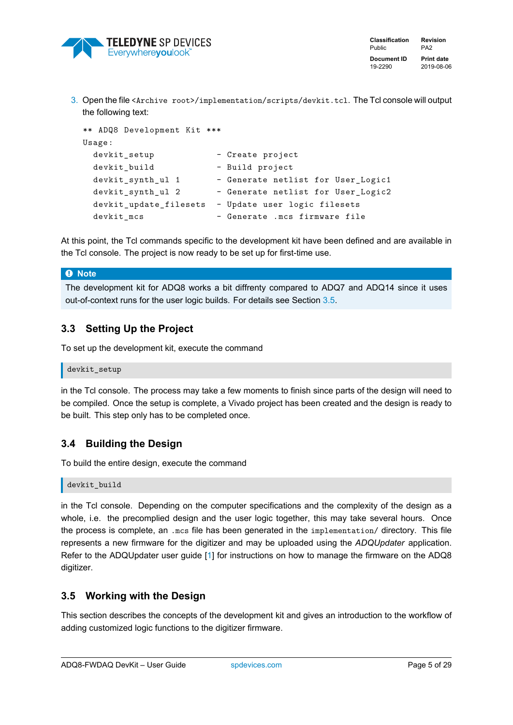

3. Open the file <Archive root>/implementation/scripts/devkit.tcl. The Tcl console will output the following text:

```
** ADQ8 Development Kit ***
Usage:
 devkit_setup - Create project
 devkit_build - Build project
 devkit_synth_ul 1 - Generate netlist for User_Logic1
 devkit_synth_ul 2 - Generate netlist for User_Logic2
 devkit_update_filesets - Update user logic filesets
 devkit_mcs - Generate .mcs firmware file
```
At this point, the Tcl commands specific to the development kit have been defined and are available in the Tcl console. The project is now ready to be set up for first-time use.

### � **Note**

The development kit for ADQ8 works a bit diffrenty compared to ADQ7 and ADQ14 since it uses out-of-context runs for the user logic builds. For details see Section [3.5.](#page-5-2)

### <span id="page-5-0"></span>**3.3 Setting Up the Project**

To set up the development kit, execute the command

```
devkit_setup
```
in the Tcl console. The process may take a few moments to finish since parts of the design will need to be compiled. Once the setup is complete, a Vivado project has been created and the design is ready to be built. This step only has to be completed once.

### <span id="page-5-1"></span>**3.4 Building the Design**

To build the entire design, execute the command

devkit\_build

in the Tcl console. Depending on the computer specifications and the complexity of the design as a whole, i.e. the precomplied design and the user logic together, this may take several hours. Once the process is complete, an .mcs file has been generated in the implementation/ directory. This file represents a new firmware for the digitizer and may be uploaded using the *ADQUpdater* application. Refer to the ADQUpdater user guide [\[1\]](#page-29-1) for instructions on how to manage the firmware on the ADQ8 digitizer.

### <span id="page-5-2"></span>**3.5 Working with the Design**

This section describes the concepts of the development kit and gives an introduction to the workflow of adding customized logic functions to the digitizer firmware.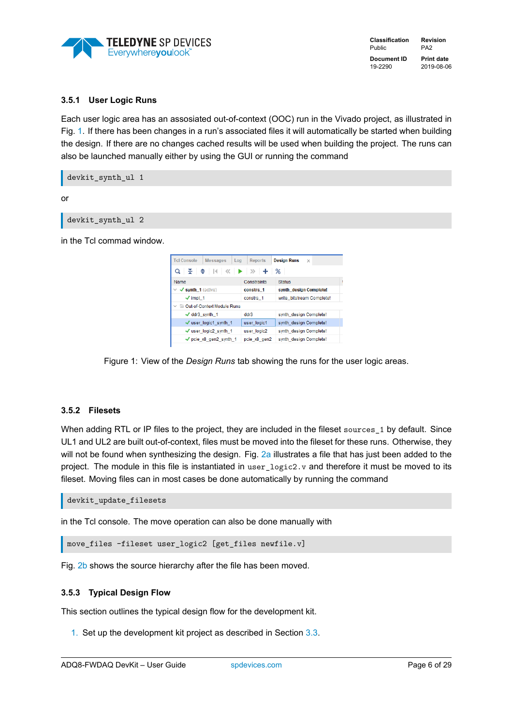

### <span id="page-6-0"></span>**3.5.1 User Logic Runs**

Each user logic area has an assosiated out-of-context (OOC) run in the Vivado project, as illustrated in Fig. [1.](#page-6-3) If there has been changes in a run's associated files it will automatically be started when building the design. If there are no changes cached results will be used when building the project. The runs can also be launched manually either by using the GUI or running the command

devkit\_synth\_ul 1

or

devkit\_synth\_ul 2

<span id="page-6-3"></span>in the Tcl commad window.



Figure 1: View of the *Design Runs* tab showing the runs for the user logic areas.

### <span id="page-6-1"></span>**3.5.2 Filesets**

When adding RTL or IP files to the project, they are included in the fileset sources 1 by default. Since UL1 and UL2 are built out-of-context, files must be moved into the fileset for these runs. Otherwise, they will not be found when synthesizing the design. Fig. [2a](#page-7-0) illustrates a file that has just been added to the project. The module in this file is instantiated in user logic2.v and therefore it must be moved to its fileset. Moving files can in most cases be done automatically by running the command

devkit\_update\_filesets

in the Tcl console. The move operation can also be done manually with

```
move files -fileset user logic2 [get files newfile.v]
```
Fig. [2b](#page-7-1) shows the source hierarchy after the file has been moved.

### <span id="page-6-2"></span>**3.5.3 Typical Design Flow**

This section outlines the typical design flow for the development kit.

1. Set up the development kit project as described in Section [3.3.](#page-5-0)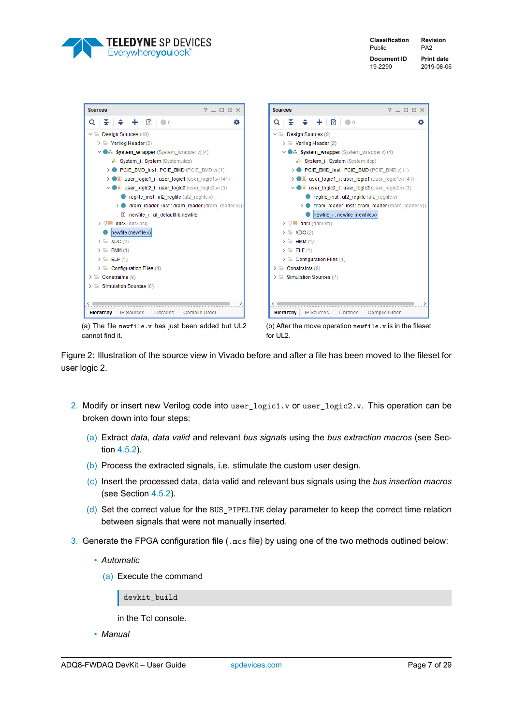

**Classification Revision** Public PA2 **Document ID Print date** 19-2290 2019-08-06

<span id="page-7-0"></span>

| Sources                                                                     | $?$ $ \Box$ $\Box$ $\times$ | <b>Sources</b>                                                            | $?$ $ \Box$ $\Box$ $\times$ |
|-----------------------------------------------------------------------------|-----------------------------|---------------------------------------------------------------------------|-----------------------------|
| $+$ 2 $\bullet$<br>Q<br>≩ I ≑ I                                             | ۰                           | $\mathbb{E}$ $\Rightarrow$ $\pm$ $\boxed{2}$ $\bullet$<br>Q               | ۰                           |
| $\vee$ $\Box$ Design Sources (10)                                           |                             | $\vee$ $\Box$ Design Sources (9)                                          |                             |
| $\triangleright \equiv$ Verilog Header (2)                                  |                             | $\triangleright \equiv$ Verilog Header (2)                                |                             |
| $\vee$ <b></b> System_wrapper (System_wrapper.v) (4)                        |                             | $\vee$ <b></b> System_wrapper (System_wrapper.v) (4)                      |                             |
| System i: System (System.dcp)                                               |                             | System_i: System (System.dcp)                                             |                             |
| > PCIE BMD inst: PCIE BMD (PCIE BMD.v) (1)                                  |                             | > PCIE_BMD_inst: PCIE_BMD (PCIE_BMD.v) (1)                                |                             |
| $\blacksquare$ user logic1 i: user logic1 (user logic1.v) (41)<br>$\geq 0$  |                             | $\triangleright$ <b>I</b> user logic1 i: user logic1 (user logic1.v) (41) |                             |
| $\vee$ I user_logic2_i: user_logic2 (user_logic2.v) (3)                     |                             | $\vee$ I user_logic2_i:user_logic2 (user_logic2.v) (3)                    |                             |
| regfile_inst: ul2_regfile (ul2_regfile.v)                                   |                             | regfile_inst: ul2_regfile (ul2_regfile.v)                                 |                             |
| dram reader inst: dram reader (dram reader.v) (3<br>$\rightarrow$ $\bullet$ |                             | > dram_reader_inst: dram_reader (dram_reader.v) (                         |                             |
| ? newfile i: xil defaultlib.newfile                                         |                             | newfile i: newfile (newfile.v)                                            |                             |
| $\triangleright \oplus$ ddr3 (ddr3.xci)                                     |                             | $\triangleright \oplus$ ddr3 (ddr3.xci)                                   |                             |
| newfile (newfile.v)                                                         |                             | $\triangleright$ $\equiv$ XDC (2)                                         |                             |
| $\triangleright$ $\equiv$ XDC (2)                                           |                             | $\triangleright$ $\blacksquare$ BMM (1)                                   |                             |
| <b>BMM</b> (1)<br>$\rightarrow$ $\equiv$                                    |                             | $\sum$ ELF(1)                                                             |                             |
| $\sum$ ELF(1)                                                               |                             | $\triangleright$ $\equiv$ Configuration Files (1)                         |                             |
| $\triangleright$ $\equiv$ Configuration Files (1)                           |                             | $\triangleright$ $\blacksquare$ Constraints (9)                           |                             |
| $\triangleright \equiv$ Constraints (9)                                     |                             | $\triangleright$ $\equiv$ Simulation Sources (7)                          |                             |
| $\geq$ Simulation Sources (8)                                               |                             |                                                                           |                             |
|                                                                             |                             |                                                                           |                             |
|                                                                             |                             |                                                                           |                             |
| <b>Hierarchy</b><br><b>IP Sources</b><br>Libraries                          | Compile Order               | <b>Hierarchy</b><br><b>IP Sources</b><br>Libraries                        | Compile Order               |

(a) The file newfile.v has just been added but UL2 cannot find it.

<span id="page-7-1"></span>

Figure 2: Illustration of the source view in Vivado before and after a file has been moved to the fileset for user logic 2.

- 2. Modify or insert new Verilog code into user  $logict1.v$  or user  $logic2.v$ . This operation can be broken down into four steps:
	- (a) Extract *data*, *data valid* and relevant *bus signals* using the *bus extraction macros* (see Section [4.5.2\)](#page-14-1).
	- (b) Process the extracted signals, i.e. stimulate the custom user design.
	- (c) Insert the processed data, data valid and relevant bus signals using the *bus insertion macros* (see Section [4.5.2\)](#page-14-1).
	- (d) Set the correct value for the BUS\_PIPELINE delay parameter to keep the correct time relation between signals that were not manually inserted.
- 3. Generate the FPGA configuration file (.mcs file) by using one of the two methods outlined below:
	- *Automatic*
		- (a) Execute the command

devkit build

in the Tcl console.

• *Manual*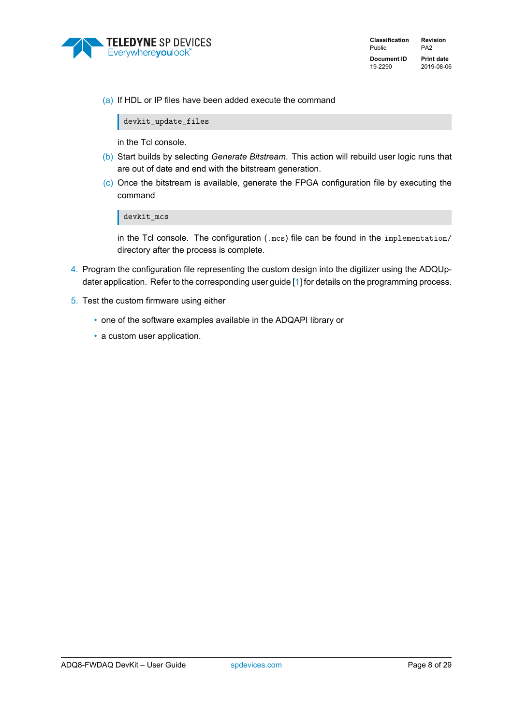

(a) If HDL or IP files have been added execute the command

devkit\_update\_files

in the Tcl console.

- (b) Start builds by selecting *Generate Bitstream*. This action will rebuild user logic runs that are out of date and end with the bitstream generation.
- (c) Once the bitstream is available, generate the FPGA configuration file by executing the command

devkit\_mcs

in the Tcl console. The configuration (.mcs) file can be found in the implementation/ directory after the process is complete.

- 4. Program the configuration file representing the custom design into the digitizer using the ADQUpdater application. Refer to the corresponding user guide [\[1\]](#page-29-1) for details on the programming process.
- 5. Test the custom firmware using either
	- one of the software examples available in the ADQAPI library or
	- a custom user application.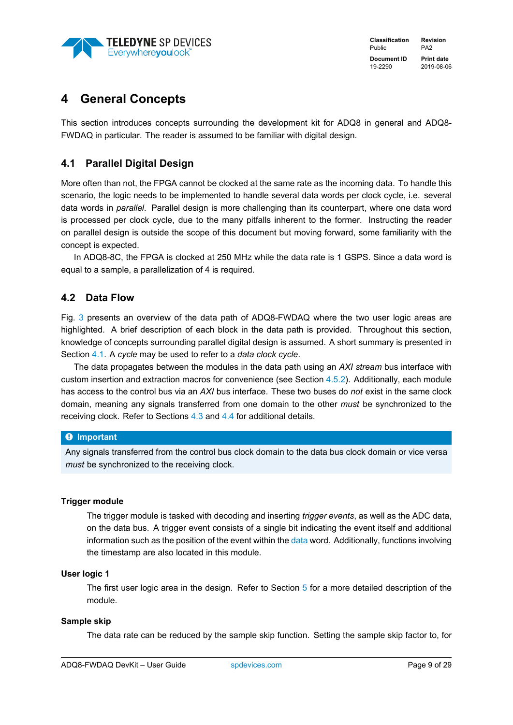

# <span id="page-9-0"></span>**4 General Concepts**

This section introduces concepts surrounding the development kit for ADQ8 in general and ADQ8- FWDAQ in particular. The reader is assumed to be familiar with digital design.

### <span id="page-9-1"></span>**4.1 Parallel Digital Design**

More often than not, the FPGA cannot be clocked at the same rate as the incoming data. To handle this scenario, the logic needs to be implemented to handle several data words per clock cycle, i.e. several data words in *parallel*. Parallel design is more challenging than its counterpart, where one data word is processed per clock cycle, due to the many pitfalls inherent to the former. Instructing the reader on parallel design is outside the scope of this document but moving forward, some familiarity with the concept is expected.

In ADQ8-8C, the FPGA is clocked at 250 MHz while the data rate is 1 GSPS. Since a data word is equal to a sample, a parallelization of 4 is required.

### <span id="page-9-2"></span>**4.2 Data Flow**

Fig. [3](#page-10-0) presents an overview of the data path of ADQ8-FWDAQ where the two user logic areas are highlighted. A brief description of each block in the data path is provided. Throughout this section, knowledge of concepts surrounding parallel digital design is assumed. A short summary is presented in Section [4.1.](#page-9-1) A *cycle* may be used to refer to a *data clock cycle*.

The data propagates between the modules in the data path using an *AXI stream* bus interface with custom insertion and extraction macros for convenience (see Section [4.5.2\)](#page-14-1). Additionally, each module has access to the control bus via an *AXI* bus interface. These two buses do *not* exist in the same clock domain, meaning any signals transferred from one domain to the other *must* be synchronized to the receiving clock. Refer to Sections [4.3](#page-11-0) and [4.4](#page-12-0) for additional details.

### � **Important**

Any signals transferred from the control bus clock domain to the data bus clock domain or vice versa *must* be synchronized to the receiving clock.

### **Trigger module**

The trigger module is tasked with decoding and inserting *trigger events*, as well as the ADC data, on the data bus. A trigger event consists of a single bit indicating the event itself and additional information such as the position of the event within the [data](#page-17-0) word. Additionally, functions involving the timestamp are also located in this module.

### **User logic 1**

The first user logic area in the design. Refer to Section [5](#page-24-0) for a more detailed description of the module.

### **Sample skip**

The data rate can be reduced by the sample skip function. Setting the sample skip factor to, for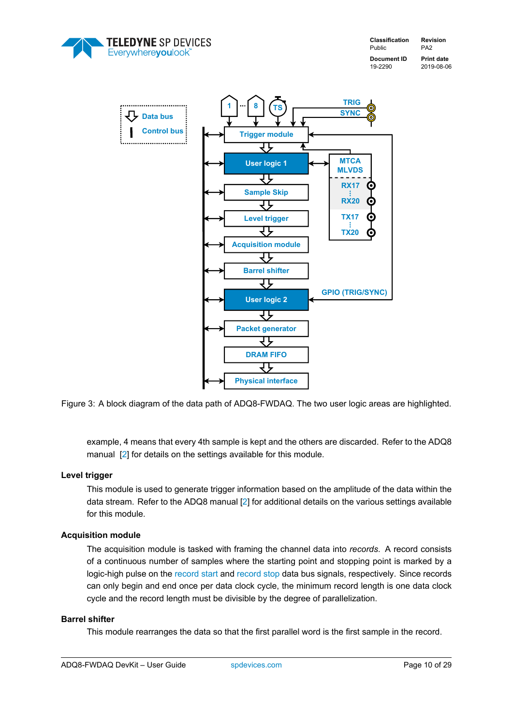<span id="page-10-0"></span>





Figure 3: A block diagram of the data path of ADQ8-FWDAQ. The two user logic areas are highlighted.

example, 4 means that every 4th sample is kept and the others are discarded. Refer to the ADQ8 manual [\[2\]](#page-29-2) for details on the settings available for this module.

### **Level trigger**

This module is used to generate trigger information based on the amplitude of the data within the data stream. Refer to the ADQ8 manual [\[2\]](#page-29-2) for additional details on the various settings available for this module.

### **Acquisition module**

The acquisition module is tasked with framing the channel data into *records*. A record consists of a continuous number of samples where the starting point and stopping point is marked by a logic-high pulse on the [record start](#page-20-0) and [record stop](#page-20-0) data bus signals, respectively. Since records can only begin and end once per data clock cycle, the minimum record length is one data clock cycle and the record length must be divisible by the degree of parallelization.

### **Barrel shifter**

This module rearranges the data so that the first parallel word is the first sample in the record.

ADQ8-FWDAQ DevKit – User Guide [spdevices.com](https://www.spdevices.com)example and page 10 of [29](#page-29-0)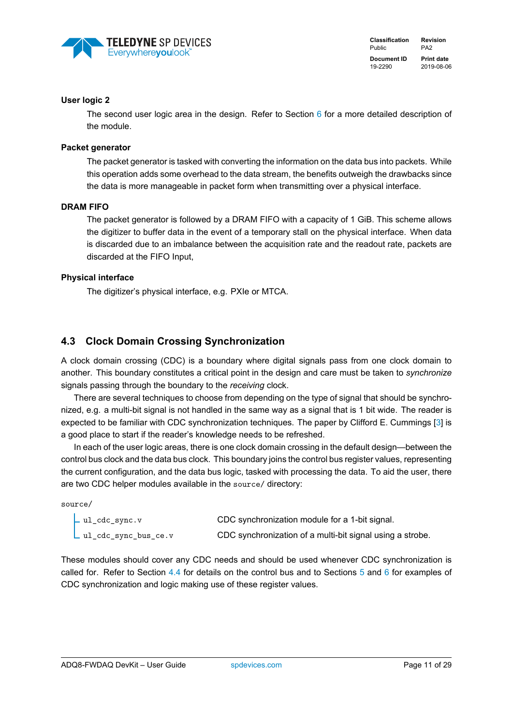

### **User logic 2**

The second user logic area in the design. Refer to Section  $6$  for a more detailed description of the module.

### **Packet generator**

The packet generator is tasked with converting the information on the data bus into packets. While this operation adds some overhead to the data stream, the benefits outweigh the drawbacks since the data is more manageable in packet form when transmitting over a physical interface.

### **DRAM FIFO**

The packet generator is followed by a DRAM FIFO with a capacity of 1 GiB. This scheme allows the digitizer to buffer data in the event of a temporary stall on the physical interface. When data is discarded due to an imbalance between the acquisition rate and the readout rate, packets are discarded at the FIFO Input,

### **Physical interface**

The digitizer's physical interface, e.g. PXIe or MTCA.

### <span id="page-11-0"></span>**4.3 Clock Domain Crossing Synchronization**

A clock domain crossing (CDC) is a boundary where digital signals pass from one clock domain to another. This boundary constitutes a critical point in the design and care must be taken to *synchronize* signals passing through the boundary to the *receiving* clock.

There are several techniques to choose from depending on the type of signal that should be synchronized, e.g. a multi-bit signal is not handled in the same way as a signal that is 1 bit wide. The reader is expected to be familiar with CDC synchronization techniques. The paper by Clifford E. Cummings [\[3\]](#page-29-3) is a good place to start if the reader's knowledge needs to be refreshed.

In each of the user logic areas, there is one clock domain crossing in the default design—between the control bus clock and the data bus clock. This boundary joins the control bus register values, representing the current configuration, and the data bus logic, tasked with processing the data. To aid the user, there are two CDC helper modules available in the source/ directory:

source/

| .ul_cdc_sync.v         | CDC synchronization module for a 1-bit signal.            |
|------------------------|-----------------------------------------------------------|
| ul_cdc_sync_bus_ce.v . | CDC synchronization of a multi-bit signal using a strobe. |

These modules should cover any CDC needs and should be used whenever CDC synchronization is called for. Refer to Section [4.4](#page-12-0) for details on the control bus and to Sections [5](#page-24-0) and [6](#page-26-0) for examples of CDC synchronization and logic making use of these register values.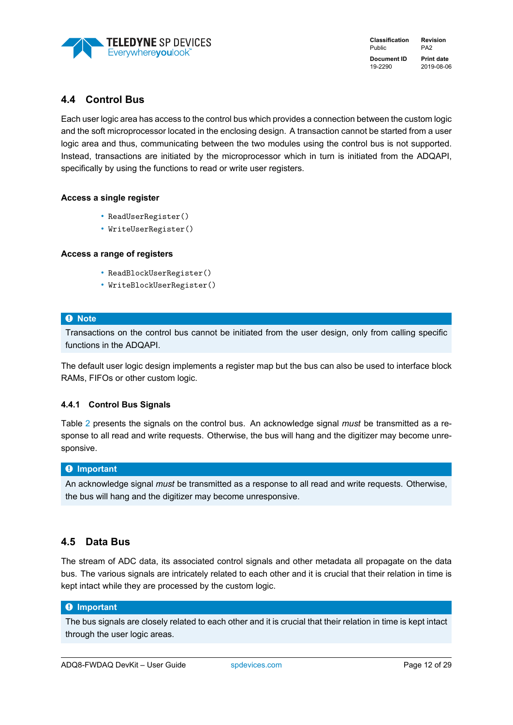

### <span id="page-12-0"></span>**4.4 Control Bus**

Each user logic area has access to the control bus which provides a connection between the custom logic and the soft microprocessor located in the enclosing design. A transaction cannot be started from a user logic area and thus, communicating between the two modules using the control bus is not supported. Instead, transactions are initiated by the microprocessor which in turn is initiated from the ADQAPI, specifically by using the functions to read or write user registers.

### **Access a single register**

- ReadUserRegister()
- WriteUserRegister()

### **Access a range of registers**

- ReadBlockUserRegister()
- WriteBlockUserRegister()

### � **Note**

Transactions on the control bus cannot be initiated from the user design, only from calling specific functions in the ADQAPI.

The default user logic design implements a register map but the bus can also be used to interface block RAMs, FIFOs or other custom logic.

### <span id="page-12-1"></span>**4.4.1 Control Bus Signals**

Table [2](#page-13-0) presents the signals on the control bus. An acknowledge signal *must* be transmitted as a response to all read and write requests. Otherwise, the bus will hang and the digitizer may become unresponsive.

### � **Important**

An acknowledge signal *must* be transmitted as a response to all read and write requests. Otherwise, the bus will hang and the digitizer may become unresponsive.

### <span id="page-12-2"></span>**4.5 Data Bus**

The stream of ADC data, its associated control signals and other metadata all propagate on the data bus. The various signals are intricately related to each other and it is crucial that their relation in time is kept intact while they are processed by the custom logic.

### � **Important**

The bus signals are closely related to each other and it is crucial that their relation in time is kept intact through the user logic areas.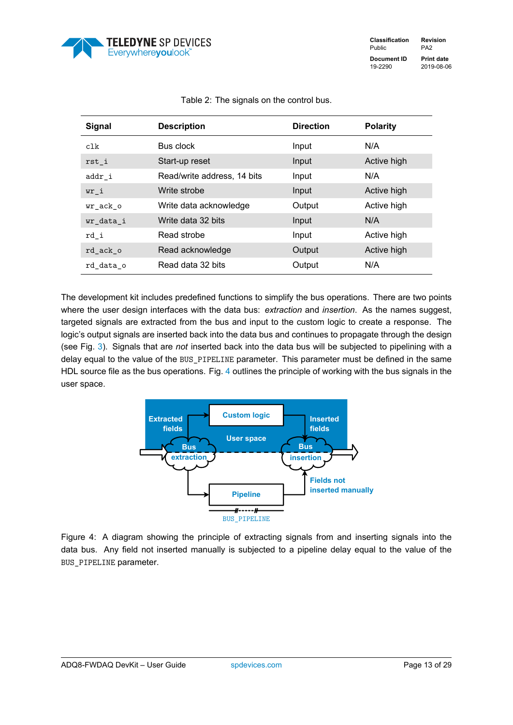

<span id="page-13-0"></span>

| <b>Signal</b> | <b>Description</b>          | <b>Direction</b> | <b>Polarity</b> |
|---------------|-----------------------------|------------------|-----------------|
| clk           | Bus clock                   | Input            | N/A             |
| rst i         | Start-up reset              | Input            | Active high     |
| addr i        | Read/write address, 14 bits | Input            | N/A             |
| $wr_i$        | Write strobe                | Input            | Active high     |
| wr_ack_o      | Write data acknowledge      | Output           | Active high     |
| wr data i     | Write data 32 bits          | Input            | N/A             |
| rd i          | Read strobe                 | Input            | Active high     |
| rd ack o      | Read acknowledge            | Output           | Active high     |
| rd data o     | Read data 32 bits           | Output           | N/A             |

### Table 2: The signals on the control bus.

The development kit includes predefined functions to simplify the bus operations. There are two points where the user design interfaces with the data bus: *extraction* and *insertion*. As the names suggest, targeted signals are extracted from the bus and input to the custom logic to create a response. The logic's output signals are inserted back into the data bus and continues to propagate through the design (see Fig. [3\)](#page-10-0). Signals that are *not* inserted back into the data bus will be subjected to pipelining with a delay equal to the value of the BUS\_PIPELINE parameter. This parameter must be defined in the same HDL source file as the bus operations. Fig. [4](#page-13-1) outlines the principle of working with the bus signals in the user space.

<span id="page-13-1"></span>

Figure 4: A diagram showing the principle of extracting signals from and inserting signals into the data bus. Any field not inserted manually is subjected to a pipeline delay equal to the value of the BUS\_PIPELINE parameter.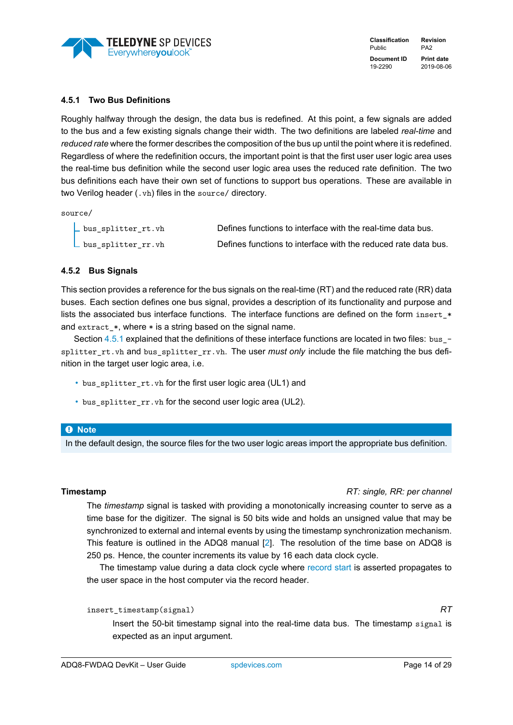

### <span id="page-14-0"></span>**4.5.1 Two Bus Definitions**

Roughly halfway through the design, the data bus is redefined. At this point, a few signals are added to the bus and a few existing signals change their width. The two definitions are labeled *real-time* and *reduced rate* where the former describes the composition of the bus up until the point where it is redefined. Regardless of where the redefinition occurs, the important point is that the first user user logic area uses the real-time bus definition while the second user logic area uses the reduced rate definition. The two bus definitions each have their own set of functions to support bus operations. These are available in two Verilog header (.vh) files in the source/ directory.

source/

| _ bus_splitter_rt.vh | Defines functions to interface with the real-time data bus.    |
|----------------------|----------------------------------------------------------------|
| _ bus_splitter_rr.vh | Defines functions to interface with the reduced rate data bus. |

### <span id="page-14-1"></span>**4.5.2 Bus Signals**

This section provides a reference for the bus signals on the real-time (RT) and the reduced rate (RR) data buses. Each section defines one bus signal, provides a description of its functionality and purpose and lists the associated bus interface functions. The interface functions are defined on the form insert\_\* and extract\_\*, where \* is a string based on the signal name.

Section [4.5.1](#page-14-0) explained that the definitions of these interface functions are located in two files: bus\_splitter\_rt.vh and bus\_splitter\_rr.vh. The user *must only* include the file matching the bus definition in the target user logic area, i.e.

- bus\_splitter\_rt.vh for the first user logic area (UL1) and
- bus\_splitter\_rr.vh for the second user logic area (UL2).

### � **Note**

In the default design, the source files for the two user logic areas import the appropriate bus definition.

### <span id="page-14-2"></span>**Timestamp** *RT: single, RR: per channel*

The *timestamp* signal is tasked with providing a monotonically increasing counter to serve as a time base for the digitizer. The signal is 50 bits wide and holds an unsigned value that may be synchronized to external and internal events by using the timestamp synchronization mechanism. This feature is outlined in the ADQ8 manual [\[2\]](#page-29-2). The resolution of the time base on ADQ8 is 250 ps. Hence, the counter increments its value by 16 each data clock cycle.

The timestamp value during a data clock cycle where [record start](#page-20-0) is asserted propagates to the user space in the host computer via the record header.

### insert\_timestamp(signal) *RT*

Insert the 50-bit timestamp signal into the real-time data bus. The timestamp signal is expected as an input argument.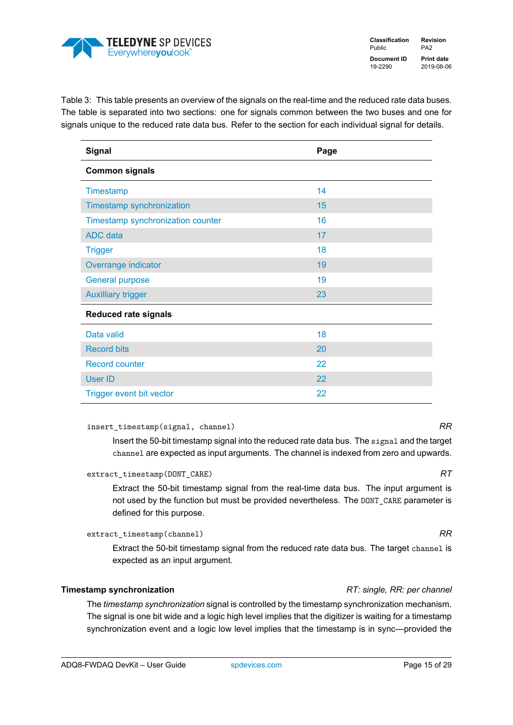

Table 3: This table presents an overview of the signals on the real-time and the reduced rate data buses. The table is separated into two sections: one for signals common between the two buses and one for signals unique to the reduced rate data bus. Refer to the section for each individual signal for details.

| <b>Signal</b>                     | Page |
|-----------------------------------|------|
| <b>Common signals</b>             |      |
| Timestamp                         | 14   |
| Timestamp synchronization         | 15   |
| Timestamp synchronization counter | 16   |
| <b>ADC</b> data                   | 17   |
| <b>Trigger</b>                    | 18   |
| Overrange indicator               | 19   |
| <b>General purpose</b>            | 19   |
| <b>Auxilliary trigger</b>         | 23   |
| <b>Reduced rate signals</b>       |      |
| Data valid                        | 18   |
| <b>Record bits</b>                | 20   |
| <b>Record counter</b>             | 22   |
| <b>User ID</b>                    | 22   |
| Trigger event bit vector          | 22   |

### insert\_timestamp(signal, channel) *RR*

Insert the 50-bit timestamp signal into the reduced rate data bus. The signal and the target channel are expected as input arguments. The channel is indexed from zero and upwards.

extract\_timestamp(DONT\_CARE) *RT*

Extract the 50-bit timestamp signal from the real-time data bus. The input argument is not used by the function but must be provided nevertheless. The DONT\_CARE parameter is defined for this purpose.

extract\_timestamp(channel) *RR*

Extract the 50-bit timestamp signal from the reduced rate data bus. The target channel is expected as an input argument.

### <span id="page-15-0"></span>**Timestamp synchronization** *RT: single, RR: per channel*

The *timestamp synchronization* signal is controlled by the timestamp synchronization mechanism. The signal is one bit wide and a logic high level implies that the digitizer is waiting for a timestamp synchronization event and a logic low level implies that the timestamp is in sync—provided the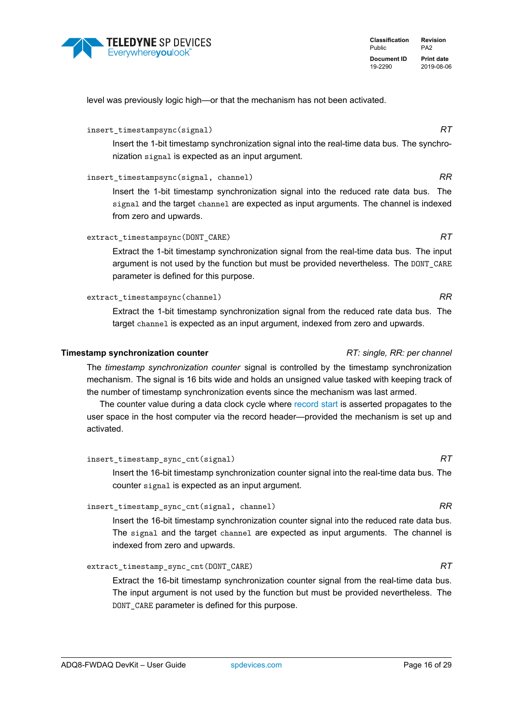

level was previously logic high—or that the mechanism has not been activated.

### insert\_timestampsync(signal) *RT*

Insert the 1-bit timestamp synchronization signal into the real-time data bus. The synchronization signal is expected as an input argument.

### insert\_timestampsync(signal, channel) *RR*

Insert the 1-bit timestamp synchronization signal into the reduced rate data bus. The signal and the target channel are expected as input arguments. The channel is indexed from zero and upwards.

### extract\_timestampsync(DONT\_CARE) *RT*

Extract the 1-bit timestamp synchronization signal from the real-time data bus. The input argument is not used by the function but must be provided nevertheless. The DONT\_CARE parameter is defined for this purpose.

### extract\_timestampsync(channel) *RR*

Extract the 1-bit timestamp synchronization signal from the reduced rate data bus. The target channel is expected as an input argument, indexed from zero and upwards.

### <span id="page-16-0"></span>**Timestamp synchronization counter** *RT: single, RR: per channel*

The *timestamp synchronization counter* signal is controlled by the timestamp synchronization mechanism. The signal is 16 bits wide and holds an unsigned value tasked with keeping track of the number of timestamp synchronization events since the mechanism was last armed.

The counter value during a data clock cycle where [record start](#page-20-0) is asserted propagates to the user space in the host computer via the record header—provided the mechanism is set up and activated.

insert\_timestamp\_sync\_cnt(signal) *RT*

Insert the 16-bit timestamp synchronization counter signal into the real-time data bus. The counter signal is expected as an input argument.

### insert\_timestamp\_sync\_cnt(signal, channel) *RR*

Insert the 16-bit timestamp synchronization counter signal into the reduced rate data bus. The signal and the target channel are expected as input arguments. The channel is indexed from zero and upwards.

### extract\_timestamp\_sync\_cnt(DONT\_CARE) *RT*

Extract the 16-bit timestamp synchronization counter signal from the real-time data bus. The input argument is not used by the function but must be provided nevertheless. The DONT\_CARE parameter is defined for this purpose.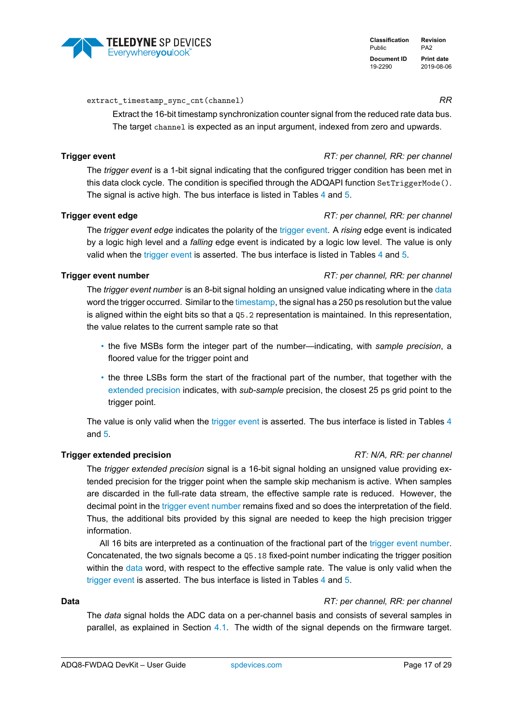### extract timestamp sync cnt(channel) *RR*

Extract the 16-bit timestamp synchronization counter signal from the reduced rate data bus. The target channel is expected as an input argument, indexed from zero and upwards.

### <span id="page-17-1"></span>**Trigger event** *RT: per channel, RR: per channel*

The *trigger event* is a 1-bit signal indicating that the configured trigger condition has been met in this data clock cycle. The condition is specified through the ADQAPI function SetTriggerMode(). The signal is active high. The bus interface is listed in Tables [4](#page-19-2) and [5.](#page-23-1)

### <span id="page-17-4"></span>**Trigger event edge** *RT: per channel, RR: per channel*

The *trigger event edge* indicates the polarity of the [trigger event.](#page-17-1) A *rising* edge event is indicated by a logic high level and a *falling* edge event is indicated by a logic low level. The value is only valid when the [trigger event](#page-17-1) is asserted. The bus interface is listed in Tables [4](#page-19-2) and [5.](#page-23-1)

### <span id="page-17-3"></span>**Trigger event number** *RT: per channel, RR: per channel*

The *trigger event number* is an 8-bit signal holding an unsigned value indicating where in the [data](#page-17-0) word the trigger occurred. Similar to the [timestamp,](#page-14-2) the signal has a 250 ps resolution but the value is aligned within the eight bits so that a Q5.2 representation is maintained. In this representation, the value relates to the current sample rate so that

- the five MSBs form the integer part of the number—indicating, with *sample precision*, a floored value for the trigger point and
- the three LSBs form the start of the fractional part of the number, that together with the [extended precision](#page-17-2) indicates, with *sub-sample* precision, the closest 25 ps grid point to the trigger point.

The value is only valid when the [trigger event](#page-17-1) is asserted. The bus interface is listed in Tables [4](#page-19-2) and [5.](#page-23-1)

### <span id="page-17-2"></span>**Trigger extended precision** *RT: N/A, RR: per channel*

The *trigger extended precision* signal is a 16-bit signal holding an unsigned value providing extended precision for the trigger point when the sample skip mechanism is active. When samples are discarded in the full-rate data stream, the effective sample rate is reduced. However, the decimal point in the [trigger event number](#page-17-3) remains fixed and so does the interpretation of the field. Thus, the additional bits provided by this signal are needed to keep the high precision trigger information.

All 16 bits are interpreted as a continuation of the fractional part of the [trigger event number.](#page-17-3) Concatenated, the two signals become a Q5.18 fixed-point number indicating the trigger position within the [data](#page-17-0) word, with respect to the effective sample rate. The value is only valid when the [trigger event](#page-17-1) is asserted. The bus interface is listed in Tables [4](#page-19-2) and [5.](#page-23-1)

### <span id="page-17-0"></span>**Data** *RT: per channel, RR: per channel*

The *data* signal holds the ADC data on a per-channel basis and consists of several samples in parallel, as explained in Section [4.1.](#page-9-1) The width of the signal depends on the firmware target.

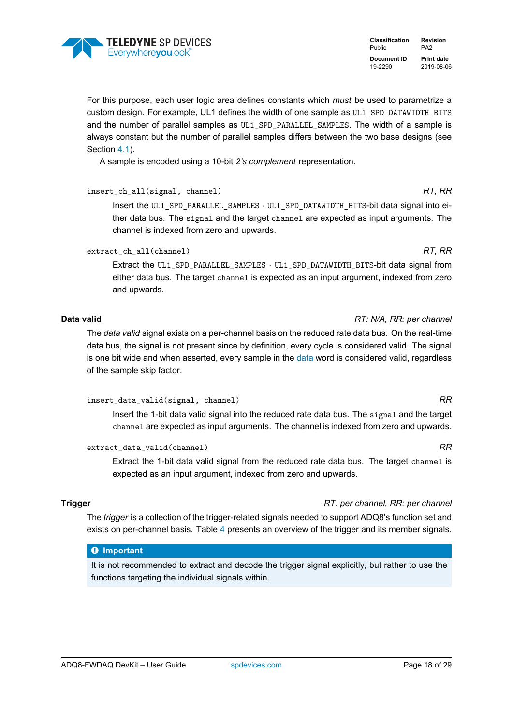

### For this purpose, each user logic area defines constants which *must* be used to parametrize a custom design. For example, UL1 defines the width of one sample as UL1\_SPD\_DATAWIDTH\_BITS and the number of parallel samples as UL1\_SPD\_PARALLEL\_SAMPLES. The width of a sample is always constant but the number of parallel samples differs between the two base designs (see Section [4.1\)](#page-9-1).

A sample is encoded using a 10-bit *2's complement* representation.

insert\_ch\_all(signal, channel) *RT, RR* Insert the UL1\_SPD\_PARALLEL\_SAMPLES · UL1\_SPD\_DATAWIDTH\_BITS-bit data signal into either data bus. The signal and the target channel are expected as input arguments. The channel is indexed from zero and upwards.

extract\_ch\_all(channel) *RT, RR*

Extract the UL1\_SPD\_PARALLEL\_SAMPLES · UL1\_SPD\_DATAWIDTH\_BITS-bit data signal from either data bus. The target channel is expected as an input argument, indexed from zero and upwards.

### <span id="page-18-1"></span>**Data valid** *RT: N/A, RR: per channel*

The *data valid* signal exists on a per-channel basis on the reduced rate data bus. On the real-time data bus, the signal is not present since by definition, every cycle is considered valid. The signal is one bit wide and when asserted, every sample in the [data](#page-17-0) word is considered valid, regardless of the sample skip factor.

### insert\_data\_valid(signal, channel) *RR*

Insert the 1-bit data valid signal into the reduced rate data bus. The signal and the target channel are expected as input arguments. The channel is indexed from zero and upwards.

extract\_data\_valid(channel) *RR*

Extract the 1-bit data valid signal from the reduced rate data bus. The target channel is expected as an input argument, indexed from zero and upwards.

### <span id="page-18-0"></span>**Trigger** *RT: per channel, RR: per channel*

The *trigger* is a collection of the trigger-related signals needed to support ADQ8's function set and exists on per-channel basis. Table [4](#page-19-2) presents an overview of the trigger and its member signals.

### � **Important**

It is not recommended to extract and decode the trigger signal explicitly, but rather to use the functions targeting the individual signals within.

### **Classification Revision** Public PA2 **Document ID Print date** 19-2290 2019-08-06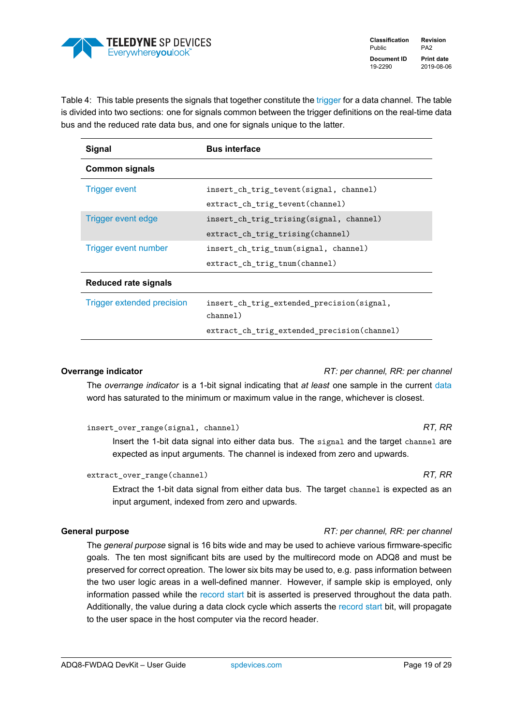

**Classification Revision** Public PA2 **Document ID Print date** 19-2290 2019-08-06

<span id="page-19-2"></span>Table 4: This table presents the signals that together constitute the [trigger](#page-18-0) for a data channel. The table is divided into two sections: one for signals common between the trigger definitions on the real-time data bus and the reduced rate data bus, and one for signals unique to the latter.

| <b>Signal</b>              | <b>Bus interface</b>                                   |  |
|----------------------------|--------------------------------------------------------|--|
| <b>Common signals</b>      |                                                        |  |
| <b>Trigger event</b>       | insert ch trig tevent (signal, channel)                |  |
|                            | extract ch trig tevent (channel)                       |  |
| Trigger event edge         | insert ch trig trising (signal, channel)               |  |
|                            | extract_ch_trig_trising(channel)                       |  |
| Trigger event number       | insert_ch_trig_tnum(signal, channel)                   |  |
|                            | extract ch trig tnum (channel)                         |  |
| Reduced rate signals       |                                                        |  |
| Trigger extended precision | insert ch trig extended precision (signal,<br>channel) |  |
|                            | extract_ch_trig_extended_precision(channel)            |  |

<span id="page-19-0"></span>**Overrange indicator** *RT: per channel, RR: per channel*

The *overrange indicator* is a 1-bit signal indicating that *at least* one sample in the current [data](#page-17-0) word has saturated to the minimum or maximum value in the range, whichever is closest.

| insert_over_range(signal, channel) |  | RT. RR |  |
|------------------------------------|--|--------|--|
|                                    |  |        |  |

Insert the 1-bit data signal into either data bus. The signal and the target channel are expected as input arguments. The channel is indexed from zero and upwards.

extract\_over\_range(channel) *RT, RR* 

Extract the 1-bit data signal from either data bus. The target channel is expected as an input argument, indexed from zero and upwards.

### <span id="page-19-1"></span>**General purpose** *RT: per channel, RR: per channel*

The *general purpose* signal is 16 bits wide and may be used to achieve various firmware-specific goals. The ten most significant bits are used by the multirecord mode on ADQ8 and must be preserved for correct opreation. The lower six bits may be used to, e.g. pass information between the two user logic areas in a well-defined manner. However, if sample skip is employed, only information passed while the [record start](#page-20-0) bit is asserted is preserved throughout the data path. Additionally, the value during a data clock cycle which asserts the [record start](#page-20-0) bit, will propagate to the user space in the host computer via the record header.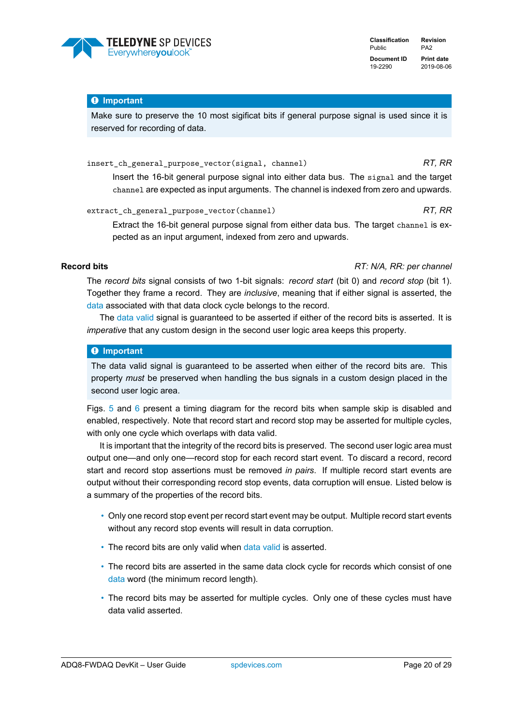

### � **Important**

Make sure to preserve the 10 most sigificat bits if general purpose signal is used since it is reserved for recording of data.

insert\_ch\_general\_purpose\_vector(signal, channel) *RT, RR*

Insert the 16-bit general purpose signal into either data bus. The signal and the target channel are expected as input arguments. The channel is indexed from zero and upwards.

extract\_ch\_general\_purpose\_vector(channel) *RT, RR*

Extract the 16-bit general purpose signal from either data bus. The target channel is expected as an input argument, indexed from zero and upwards.

<span id="page-20-0"></span>**Record bits** *RT: N/A, RR: per channel*

The *record bits* signal consists of two 1-bit signals: *record start* (bit 0) and *record stop* (bit 1). Together they frame a record. They are *inclusive*, meaning that if either signal is asserted, the [data](#page-17-0) associated with that data clock cycle belongs to the record.

The [data valid](#page-18-1) signal is guaranteed to be asserted if either of the record bits is asserted. It is *imperative* that any custom design in the second user logic area keeps this property.

### � **Important**

The data valid signal is guaranteed to be asserted when either of the record bits are. This property *must* be preserved when handling the bus signals in a custom design placed in the second user logic area.

Figs.  $5$  and  $6$  present a timing diagram for the record bits when sample skip is disabled and enabled, respectively. Note that record start and record stop may be asserted for multiple cycles, with only one cycle which overlaps with data valid.

It is important that the integrity of the record bits is preserved. The second user logic area must output one—and only one—record stop for each record start event. To discard a record, record start and record stop assertions must be removed *in pairs*. If multiple record start events are output without their corresponding record stop events, data corruption will ensue. Listed below is a summary of the properties of the record bits.

- Only one record stop event per record start event may be output. Multiple record start events without any record stop events will result in data corruption.
- The record bits are only valid when [data valid](#page-18-1) is asserted.
- The record bits are asserted in the same data clock cycle for records which consist of one [data](#page-17-0) word (the minimum record length).
- The record bits may be asserted for multiple cycles. Only one of these cycles must have data valid asserted.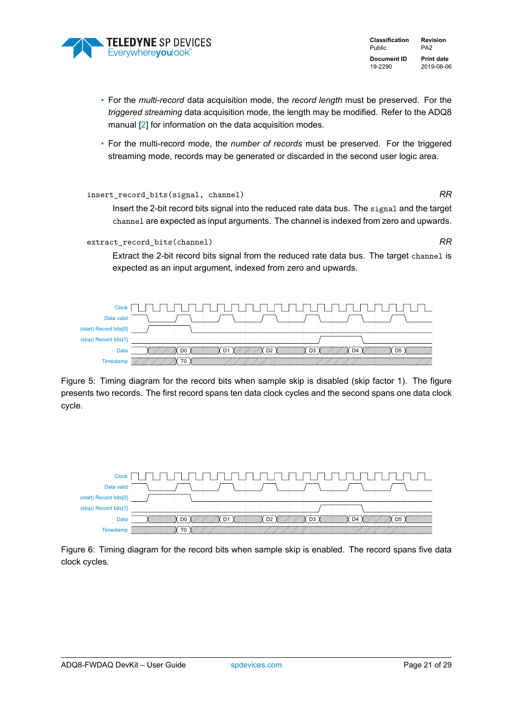

**Classification Revision** Public PA2 **Document ID Print date** 19-2290 2019-08-06

- For the *multi-record* data acquisition mode, the *record length* must be preserved. For the *triggered streaming* data acquisition mode, the length may be modified. Refer to the ADQ8 manual [\[2\]](#page-29-2) for information on the data acquisition modes.
- For the multi-record mode, the *number of records* must be preserved. For the triggered streaming mode, records may be generated or discarded in the second user logic area.

### insert\_record\_bits(signal, channel) *RR*

Insert the 2-bit record bits signal into the reduced rate data bus. The signal and the target channel are expected as input arguments. The channel is indexed from zero and upwards.

extract record bits(channel) **RR** 

Extract the 2-bit record bits signal from the reduced rate data bus. The target channel is expected as an input argument, indexed from zero and upwards.

<span id="page-21-0"></span>

Figure 5: Timing diagram for the record bits when sample skip is disabled (skip factor 1). The figure presents two records. The first record spans ten data clock cycles and the second spans one data clock cycle.

<span id="page-21-1"></span>

Figure 6: Timing diagram for the record bits when sample skip is enabled. The record spans five data clock cycles.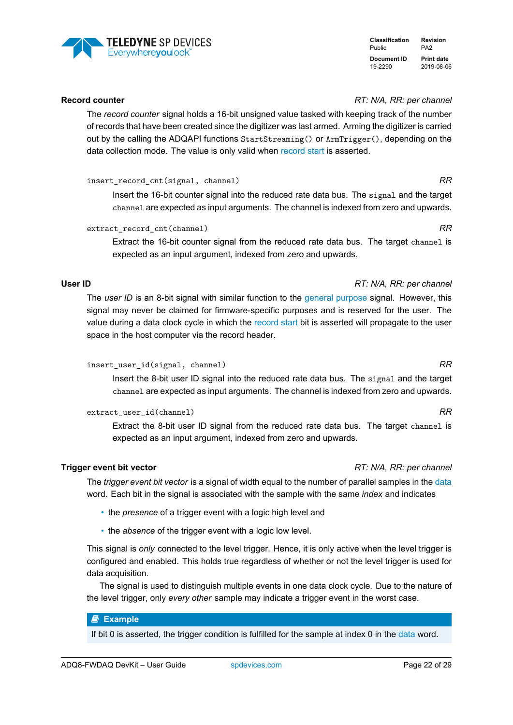### ADQ8-FWDAQ DevKit – User Guide [spdevices.com](https://www.spdevices.com) Page 22of [29](#page-29-0)

### <span id="page-22-0"></span>**Record counter** *RT: N/A, RR: per channel*

The *record counter* signal holds a 16-bit unsigned value tasked with keeping track of the number of records that have been created since the digitizer was last armed. Arming the digitizer is carried out by the calling the ADQAPI functions StartStreaming() or ArmTrigger(), depending on the data collection mode. The value is only valid when [record start](#page-20-0) is asserted.

insert\_record\_cnt(signal, channel) *RR*

Insert the 16-bit counter signal into the reduced rate data bus. The signal and the target channel are expected as input arguments. The channel is indexed from zero and upwards.

extract\_record\_cnt(channel) *RR*

Extract the 16-bit counter signal from the reduced rate data bus. The target channel is expected as an input argument, indexed from zero and upwards.

### <span id="page-22-1"></span>**User ID** *RT: N/A, RR: per channel*

The *user ID* is an 8-bit signal with similar function to the [general purpose](#page-19-1) signal. However, this signal may never be claimed for firmware-specific purposes and is reserved for the user. The value during a data clock cycle in which the [record start](#page-20-0) bit is asserted will propagate to the user space in the host computer via the record header.

```
insert_user_id(signal, channel) RR
```
Insert the 8-bit user ID signal into the reduced rate data bus. The signal and the target channel are expected as input arguments. The channel is indexed from zero and upwards.

extract\_user\_id(channel) *RR*

Extract the 8-bit user ID signal from the reduced rate data bus. The target channel is expected as an input argument, indexed from zero and upwards.

### <span id="page-22-2"></span>**Trigger event bit vector** *RT: N/A, RR: per channel*

The *trigger event bit vector* is a signal of width equal to the number of parallel samples in the [data](#page-17-0) word. Each bit in the signal is associated with the sample with the same *index* and indicates

- the *presence* of a trigger event with a logic high level and
- the *absence* of the trigger event with a logic low level.

This signal is *only* connected to the level trigger. Hence, it is only active when the level trigger is configured and enabled. This holds true regardless of whether or not the level trigger is used for data acquisition.

The signal is used to distinguish multiple events in one data clock cycle. Due to the nature of the level trigger, only *every other* sample may indicate a trigger event in the worst case.

### � **Example**

If bit 0 is asserted, the trigger condition is fulfilled for the sample at index 0 in the [data](#page-17-0) word.



**Classification Revision** Public PA2 **Document ID Print date** 19-2290 2019-08-06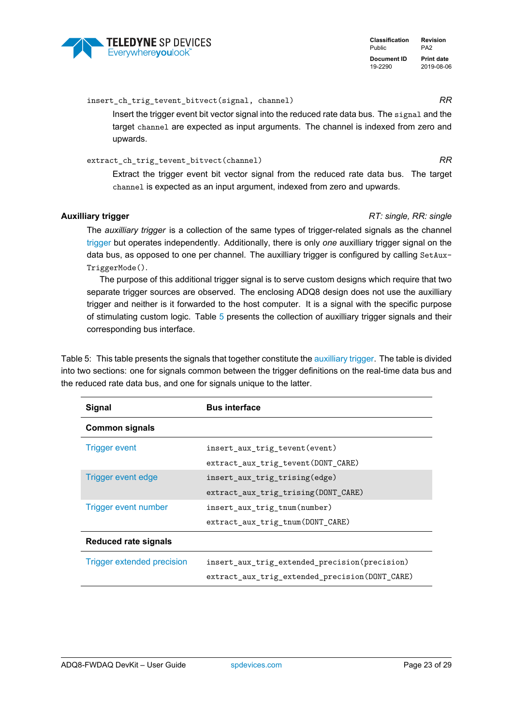

insert ch\_trig\_tevent\_bitvect(signal, channel) *RR* 

Insert the trigger event bit vector signal into the reduced rate data bus. The signal and the target channel are expected as input arguments. The channel is indexed from zero and upwards.

### extract ch trig\_tevent\_bitvect(channel) *RR*

Extract the trigger event bit vector signal from the reduced rate data bus. The target channel is expected as an input argument, indexed from zero and upwards.

### <span id="page-23-0"></span>**Auxilliary trigger** *RT: single, RR: single*

The *auxilliary trigger* is a collection of the same types of trigger-related signals as the channel [trigger](#page-18-0) but operates independently. Additionally, there is only *one* auxilliary trigger signal on the data bus, as opposed to one per channel. The auxilliary trigger is configured by calling SetAux-TriggerMode().

The purpose of this additional trigger signal is to serve custom designs which require that two separate trigger sources are observed. The enclosing ADQ8 design does not use the auxilliary trigger and neither is it forwarded to the host computer. It is a signal with the specific purpose of stimulating custom logic. Table [5](#page-23-1) presents the collection of auxilliary trigger signals and their corresponding bus interface.

<span id="page-23-1"></span>Table 5: This table presents the signals that together constitute the [auxilliary trigger.](#page-23-0) The table is divided into two sections: one for signals common between the trigger definitions on the real-time data bus and the reduced rate data bus, and one for signals unique to the latter.

| <b>Signal</b>                     | <b>Bus interface</b>                           |
|-----------------------------------|------------------------------------------------|
| <b>Common signals</b>             |                                                |
| <b>Trigger event</b>              | insert aux trig tevent (event)                 |
|                                   | extract_aux_trig_tevent(DONT_CARE)             |
| Trigger event edge                | insert aux trig trising (edge)                 |
|                                   | extract aux trig trising (DONT CARE)           |
| <b>Trigger event number</b>       | insert aux trig tnum(number)                   |
|                                   | extract aux trig tnum (DONT CARE)              |
| Reduced rate signals              |                                                |
| <b>Trigger extended precision</b> | insert aux trig extended precision(precision)  |
|                                   | extract_aux_trig_extended_precision(DONT_CARE) |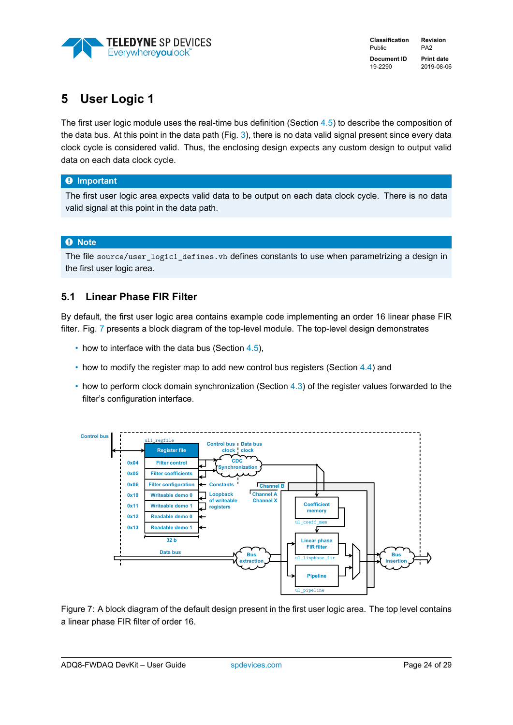

**Classification Revision** Public PA2 **Document ID Print date** 19-2290 2019-08-06

# <span id="page-24-0"></span>**5 User Logic 1**

The first user logic module uses the real-time bus definition (Section [4.5\)](#page-12-2) to describe the composition of the data bus. At this point in the data path (Fig. [3\)](#page-10-0), there is no data valid signal present since every data clock cycle is considered valid. Thus, the enclosing design expects any custom design to output valid data on each data clock cycle.

### � **Important**

The first user logic area expects valid data to be output on each data clock cycle. There is no data valid signal at this point in the data path.

### � **Note**

The file source/user logic1 defines. vh defines constants to use when parametrizing a design in the first user logic area.

### <span id="page-24-1"></span>**5.1 Linear Phase FIR Filter**

By default, the first user logic area contains example code implementing an order 16 linear phase FIR filter. Fig. [7](#page-24-2) presents a block diagram of the top-level module. The top-level design demonstrates

- how to interface with the data bus (Section  $4.5$ ),
- how to modify the register map to add new control bus registers (Section [4.4\)](#page-12-0) and
- how to perform clock domain synchronization (Section [4.3\)](#page-11-0) of the register values forwarded to the filter's configuration interface.

<span id="page-24-2"></span>

Figure 7: A block diagram of the default design present in the first user logic area. The top level contains a linear phase FIR filter of order 16.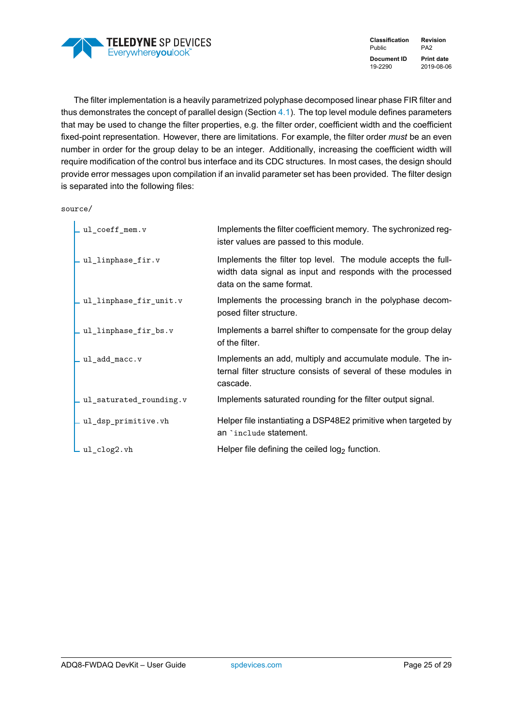

The filter implementation is a heavily parametrized polyphase decomposed linear phase FIR filter and thus demonstrates the concept of parallel design (Section [4.1\)](#page-9-1). The top level module defines parameters that may be used to change the filter properties, e.g. the filter order, coefficient width and the coefficient fixed-point representation. However, there are limitations. For example, the filter order *must* be an even number in order for the group delay to be an integer. Additionally, increasing the coefficient width will require modification of the control bus interface and its CDC structures. In most cases, the design should provide error messages upon compilation if an invalid parameter set has been provided. The filter design is separated into the following files:

source/

| $\_$ ul_coeff_mem.v             | Implements the filter coefficient memory. The sychronized reg-<br>ister values are passed to this module.                                               |
|---------------------------------|---------------------------------------------------------------------------------------------------------------------------------------------------------|
| _ul_linphase_fir.v              | Implements the filter top level. The module accepts the full-<br>width data signal as input and responds with the processed<br>data on the same format. |
| _ul_linphase_fir_unit.v         | Implements the processing branch in the polyphase decom-<br>posed filter structure.                                                                     |
| _ul_linphase_fir_bs.v           | Implements a barrel shifter to compensate for the group delay<br>of the filter.                                                                         |
| $\_$ <code>ul_add_macc.v</code> | Implements an add, multiply and accumulate module. The in-<br>ternal filter structure consists of several of these modules in<br>cascade.               |
| ul_saturated_rounding.v         | Implements saturated rounding for the filter output signal.                                                                                             |
| _ul_dsp_primitive.vh            | Helper file instantiating a DSP48E2 primitive when targeted by<br>an `include statement.                                                                |
| _ul_clog2.vh                    | Helper file defining the ceiled $log2$ function.                                                                                                        |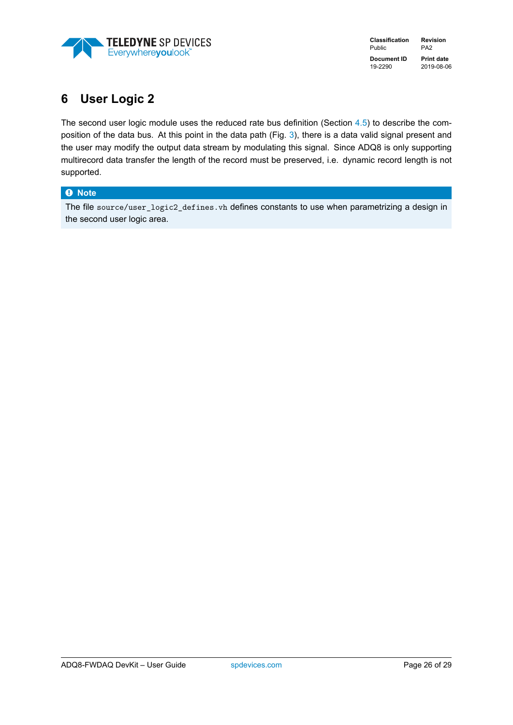

# <span id="page-26-0"></span>**6 User Logic 2**

The second user logic module uses the reduced rate bus definition (Section [4.5\)](#page-12-2) to describe the composition of the data bus. At this point in the data path (Fig. [3\)](#page-10-0), there is a data valid signal present and the user may modify the output data stream by modulating this signal. Since ADQ8 is only supporting multirecord data transfer the length of the record must be preserved, i.e. dynamic record length is not supported.

### � **Note**

The file source/user\_logic2\_defines.vh defines constants to use when parametrizing a design in the second user logic area.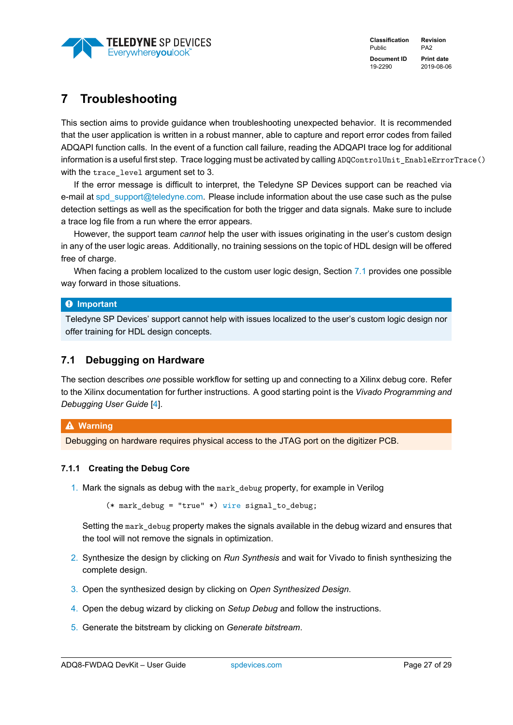

# <span id="page-27-0"></span>**7 Troubleshooting**

This section aims to provide guidance when troubleshooting unexpected behavior. It is recommended that the user application is written in a robust manner, able to capture and report error codes from failed ADQAPI function calls. In the event of a function call failure, reading the ADQAPI trace log for additional information is a useful first step. Trace logging must be activated by calling ADQControlUnit\_EnableErrorTrace() with the trace level argument set to 3.

If the error message is difficult to interpret, the Teledyne SP Devices support can be reached via e-mail at [spd\\_support@teledyne.com.](mailto:spd_support@teledyne.com?body=<Please attach a trace log file>) Please include information about the use case such as the pulse detection settings as well as the specification for both the trigger and data signals. Make sure to include a trace log file from a run where the error appears.

However, the support team *cannot* help the user with issues originating in the user's custom design in any of the user logic areas. Additionally, no training sessions on the topic of HDL design will be offered free of charge.

When facing a problem localized to the custom user logic design, Section [7.1](#page-27-1) provides one possible way forward in those situations.

### � **Important**

Teledyne SP Devices' support cannot help with issues localized to the user's custom logic design nor offer training for HDL design concepts.

### <span id="page-27-1"></span>**7.1 Debugging on Hardware**

The section describes *one* possible workflow for setting up and connecting to a Xilinx debug core. Refer to the Xilinx documentation for further instructions. A good starting point is the *Vivado Programming and Debugging User Guide* [\[4\]](#page-29-4).

### � **Warning**

Debugging on hardware requires physical access to the JTAG port on the digitizer PCB.

### <span id="page-27-2"></span>**7.1.1 Creating the Debug Core**

1. Mark the signals as debug with the mark\_debug property, for example in Verilog

(\* mark\_debug = "true" \*) wire signal\_to\_debug;

Setting the mark\_debug property makes the signals available in the debug wizard and ensures that the tool will not remove the signals in optimization.

- 2. Synthesize the design by clicking on *Run Synthesis* and wait for Vivado to finish synthesizing the complete design.
- 3. Open the synthesized design by clicking on *Open Synthesized Design*.
- 4. Open the debug wizard by clicking on *Setup Debug* and follow the instructions.
- 5. Generate the bitstream by clicking on *Generate bitstream*.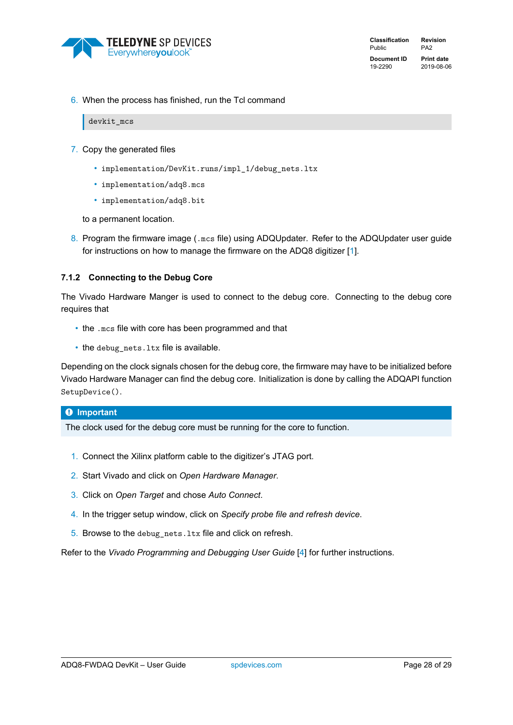

6. When the process has finished, run the Tcl command

### devkit\_mcs

- 7. Copy the generated files
	- implementation/DevKit.runs/impl\_1/debug\_nets.ltx
	- implementation/adq8.mcs
	- implementation/adq8.bit

to a permanent location.

8. Program the firmware image (.mcs file) using ADQUpdater. Refer to the ADQUpdater user guide for instructions on how to manage the firmware on the ADQ8 digitizer [\[1\]](#page-29-1).

### <span id="page-28-0"></span>**7.1.2 Connecting to the Debug Core**

The Vivado Hardware Manger is used to connect to the debug core. Connecting to the debug core requires that

- the .mcs file with core has been programmed and that
- the debug\_nets.ltx file is available.

Depending on the clock signals chosen for the debug core, the firmware may have to be initialized before Vivado Hardware Manager can find the debug core. Initialization is done by calling the ADQAPI function SetupDevice().

### � **Important**

The clock used for the debug core must be running for the core to function.

- 1. Connect the Xilinx platform cable to the digitizer's JTAG port.
- 2. Start Vivado and click on *Open Hardware Manager*.
- 3. Click on *Open Target* and chose *Auto Connect*.
- 4. In the trigger setup window, click on *Specify probe file and refresh device*.
- 5. Browse to the debug\_nets.ltx file and click on refresh.

Refer to the *Vivado Programming and Debugging User Guide* [\[4\]](#page-29-4) for further instructions.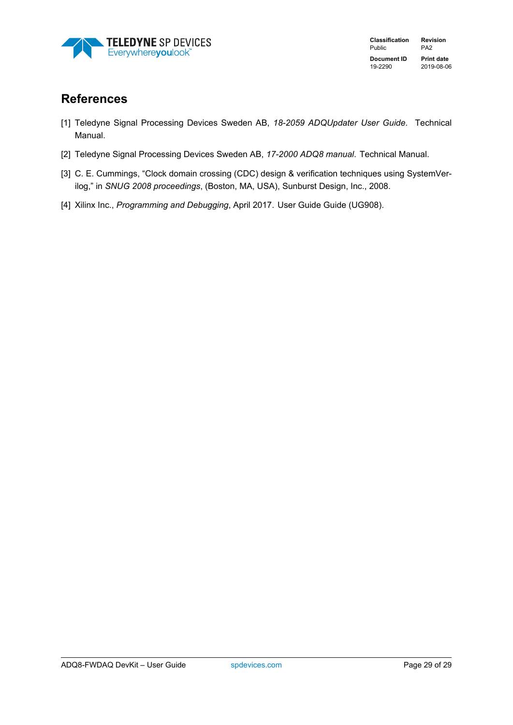<span id="page-29-0"></span>

# **References**

- <span id="page-29-1"></span>[1] Teledyne Signal Processing Devices Sweden AB, *18-2059 ADQUpdater User Guide*. Technical Manual.
- <span id="page-29-2"></span>[2] Teledyne Signal Processing Devices Sweden AB, *17-2000 ADQ8 manual*. Technical Manual.
- <span id="page-29-3"></span>[3] C. E. Cummings, "Clock domain crossing (CDC) design & verification techniques using SystemVerilog," in *SNUG 2008 proceedings*, (Boston, MA, USA), Sunburst Design, Inc., 2008.
- <span id="page-29-4"></span>[4] Xilinx Inc., *Programming and Debugging*, April 2017. User Guide Guide (UG908).